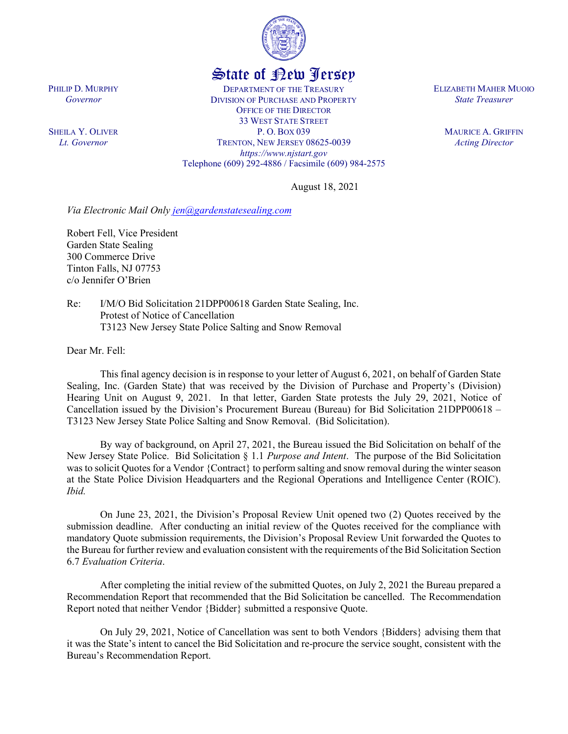

## State of New Jersey

DEPARTMENT OF THE TREASURY DIVISION OF PURCHASE AND PROPERTY OFFICE OF THE DIRECTOR 33 WEST STATE STREET P. O. BOX 039 TRENTON, NEW JERSEY 08625-0039 *https://www.njstart.gov* Telephone (609) 292-4886 / Facsimile (609) 984-2575 ELIZABETH MAHER MUOIO *State Treasurer*

> MAURICE A. GRIFFIN *Acting Director*

August 18, 2021

*Via Electronic Mail Only [jen@gardenstatesealing.com](mailto:jen@gardenstatesealing.com)*

Robert Fell, Vice President Garden State Sealing 300 Commerce Drive Tinton Falls, NJ 07753 c/o Jennifer O'Brien

Re: I/M/O Bid Solicitation 21DPP00618 Garden State Sealing, Inc. Protest of Notice of Cancellation T3123 New Jersey State Police Salting and Snow Removal

Dear Mr. Fell:

This final agency decision is in response to your letter of August 6, 2021, on behalf of Garden State Sealing, Inc. (Garden State) that was received by the Division of Purchase and Property's (Division) Hearing Unit on August 9, 2021. In that letter, Garden State protests the July 29, 2021, Notice of Cancellation issued by the Division's Procurement Bureau (Bureau) for Bid Solicitation 21DPP00618 – T3123 New Jersey State Police Salting and Snow Removal. (Bid Solicitation).

By way of background, on April 27, 2021, the Bureau issued the Bid Solicitation on behalf of the New Jersey State Police. Bid Solicitation § 1.1 *Purpose and Intent*. The purpose of the Bid Solicitation was to solicit Quotes for a Vendor {Contract} to perform salting and snow removal during the winter season at the State Police Division Headquarters and the Regional Operations and Intelligence Center (ROIC). *Ibid.* 

On June 23, 2021, the Division's Proposal Review Unit opened two (2) Quotes received by the submission deadline. After conducting an initial review of the Quotes received for the compliance with mandatory Quote submission requirements, the Division's Proposal Review Unit forwarded the Quotes to the Bureau for further review and evaluation consistent with the requirements of the Bid Solicitation Section 6.7 *Evaluation Criteria*.

After completing the initial review of the submitted Quotes, on July 2, 2021 the Bureau prepared a Recommendation Report that recommended that the Bid Solicitation be cancelled. The Recommendation Report noted that neither Vendor {Bidder} submitted a responsive Quote.

On July 29, 2021, Notice of Cancellation was sent to both Vendors {Bidders} advising them that it was the State's intent to cancel the Bid Solicitation and re-procure the service sought, consistent with the Bureau's Recommendation Report.

PHILIP D. MURPHY *Governor*

SHEILA Y. OLIVER *Lt. Governor*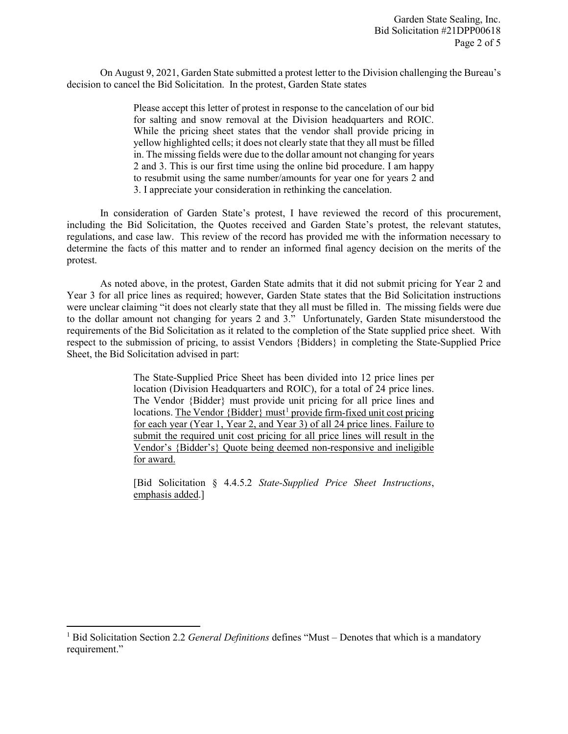On August 9, 2021, Garden State submitted a protest letter to the Division challenging the Bureau's decision to cancel the Bid Solicitation. In the protest, Garden State states

> Please accept this letter of protest in response to the cancelation of our bid for salting and snow removal at the Division headquarters and ROIC. While the pricing sheet states that the vendor shall provide pricing in yellow highlighted cells; it does not clearly state that they all must be filled in. The missing fields were due to the dollar amount not changing for years 2 and 3. This is our first time using the online bid procedure. I am happy to resubmit using the same number/amounts for year one for years 2 and 3. I appreciate your consideration in rethinking the cancelation.

In consideration of Garden State's protest, I have reviewed the record of this procurement, including the Bid Solicitation, the Quotes received and Garden State's protest, the relevant statutes, regulations, and case law. This review of the record has provided me with the information necessary to determine the facts of this matter and to render an informed final agency decision on the merits of the protest.

As noted above, in the protest, Garden State admits that it did not submit pricing for Year 2 and Year 3 for all price lines as required; however, Garden State states that the Bid Solicitation instructions were unclear claiming "it does not clearly state that they all must be filled in. The missing fields were due to the dollar amount not changing for years 2 and 3." Unfortunately, Garden State misunderstood the requirements of the Bid Solicitation as it related to the completion of the State supplied price sheet. With respect to the submission of pricing, to assist Vendors {Bidders} in completing the State-Supplied Price Sheet, the Bid Solicitation advised in part:

> The State-Supplied Price Sheet has been divided into 12 price lines per location (Division Headquarters and ROIC), for a total of 24 price lines. The Vendor {Bidder} must provide unit pricing for all price lines and locations. The Vendor  ${Bidden}$  must<sup>[1](#page-1-0)</sup> provide firm-fixed unit cost pricing for each year (Year 1, Year 2, and Year 3) of all 24 price lines. Failure to submit the required unit cost pricing for all price lines will result in the Vendor's {Bidder's} Quote being deemed non-responsive and ineligible for award.

> [Bid Solicitation § 4.4.5.2 *State-Supplied Price Sheet Instructions*, emphasis added.]

 $\overline{\phantom{a}}$ 

<span id="page-1-0"></span><sup>&</sup>lt;sup>1</sup> Bid Solicitation Section 2.2 *General Definitions* defines "Must – Denotes that which is a mandatory requirement."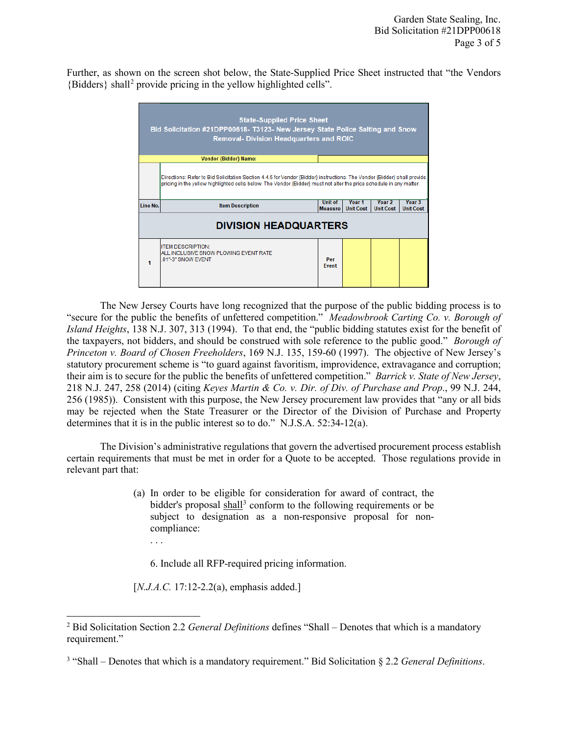Further, as shown on the screen shot below, the State-Supplied Price Sheet instructed that "the Vendors {Bidders} shall[2](#page-2-0) provide pricing in the yellow highlighted cells".

| <b>State-Supplied Price Sheet</b><br>Bid Solicitation #21DPP00618- T3123- New Jersey State Police Salting and Snow<br><b>Removal- Division Headquarters and ROIC</b> |                                                                                                                                                                                                                                                |                                  |                                       |                                       |                                       |  |
|----------------------------------------------------------------------------------------------------------------------------------------------------------------------|------------------------------------------------------------------------------------------------------------------------------------------------------------------------------------------------------------------------------------------------|----------------------------------|---------------------------------------|---------------------------------------|---------------------------------------|--|
|                                                                                                                                                                      | <b>Vendor {Bidder} Name:</b>                                                                                                                                                                                                                   |                                  |                                       |                                       |                                       |  |
|                                                                                                                                                                      | Directions: Refer to Bid Solicitation Section 4.4.5 for Vendor {Bidder} instructions. The Vendor {Bidder} shall provide<br>pricing in the yellow highlighted cells below. The Vendor {Bidder} must not alter the price schedule in any matter. |                                  |                                       |                                       |                                       |  |
|                                                                                                                                                                      |                                                                                                                                                                                                                                                |                                  |                                       |                                       |                                       |  |
| Line No.                                                                                                                                                             | <b>Item Description</b>                                                                                                                                                                                                                        | <b>Unit of</b><br><b>Measure</b> | Year <sub>1</sub><br><b>Unit Cost</b> | Year <sub>2</sub><br><b>Unit Cost</b> | Year <sub>3</sub><br><b>Unit Cost</b> |  |
|                                                                                                                                                                      | <b>DIVISION HEADQUARTERS</b>                                                                                                                                                                                                                   |                                  |                                       |                                       |                                       |  |

The New Jersey Courts have long recognized that the purpose of the public bidding process is to "secure for the public the benefits of unfettered competition." *Meadowbrook Carting Co. v. Borough of Island Heights*, 138 N.J. 307, 313 (1994). To that end, the "public bidding statutes exist for the benefit of the taxpayers, not bidders, and should be construed with sole reference to the public good." *Borough of Princeton v. Board of Chosen Freeholders*, 169 N.J. 135, 159-60 (1997). The objective of New Jersey's statutory procurement scheme is "to guard against favoritism, improvidence, extravagance and corruption; their aim is to secure for the public the benefits of unfettered competition." *Barrick v. State of New Jersey*, 218 N.J. 247, 258 (2014) (citing *Keyes Martin & Co. v. Dir. of Div. of Purchase and Prop*., 99 N.J. 244, 256 (1985)). Consistent with this purpose, the New Jersey procurement law provides that "any or all bids may be rejected when the State Treasurer or the Director of the Division of Purchase and Property determines that it is in the public interest so to do." N.J.S.A. 52:34-12(a).

The Division's administrative regulations that govern the advertised procurement process establish certain requirements that must be met in order for a Quote to be accepted. Those regulations provide in relevant part that:

- (a) In order to be eligible for consideration for award of contract, the bidder's proposal shall<sup>[3](#page-2-1)</sup> conform to the following requirements or be subject to designation as a non-responsive proposal for noncompliance:
	- . . .

6. Include all RFP-required pricing information.

[*N.J.A.C.* 17:12-2.2(a), emphasis added.]

<span id="page-2-0"></span>l <sup>2</sup> Bid Solicitation Section 2.2 *General Definitions* defines "Shall – Denotes that which is a mandatory requirement."

<span id="page-2-1"></span><sup>3</sup> "Shall – Denotes that which is a mandatory requirement." Bid Solicitation § 2.2 *General Definitions*.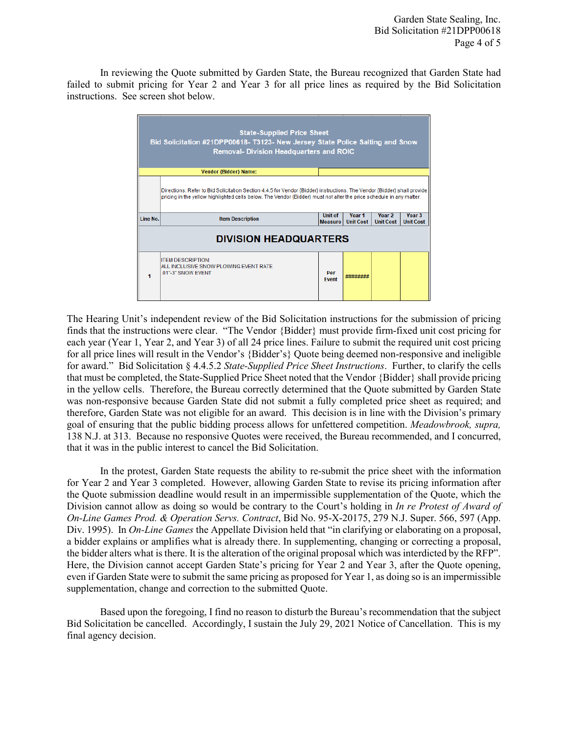In reviewing the Quote submitted by Garden State, the Bureau recognized that Garden State had failed to submit pricing for Year 2 and Year 3 for all price lines as required by the Bid Solicitation instructions. See screen shot below.



The Hearing Unit's independent review of the Bid Solicitation instructions for the submission of pricing finds that the instructions were clear. "The Vendor {Bidder} must provide firm-fixed unit cost pricing for each year (Year 1, Year 2, and Year 3) of all 24 price lines. Failure to submit the required unit cost pricing for all price lines will result in the Vendor's {Bidder's} Quote being deemed non-responsive and ineligible for award." Bid Solicitation § 4.4.5.2 *State-Supplied Price Sheet Instructions*. Further, to clarify the cells that must be completed, the State-Supplied Price Sheet noted that the Vendor {Bidder} shall provide pricing in the yellow cells. Therefore, the Bureau correctly determined that the Quote submitted by Garden State was non-responsive because Garden State did not submit a fully completed price sheet as required; and therefore, Garden State was not eligible for an award. This decision is in line with the Division's primary goal of ensuring that the public bidding process allows for unfettered competition. *Meadowbrook, supra,*  138 N.J. at 313. Because no responsive Quotes were received, the Bureau recommended, and I concurred, that it was in the public interest to cancel the Bid Solicitation.

In the protest, Garden State requests the ability to re-submit the price sheet with the information for Year 2 and Year 3 completed. However, allowing Garden State to revise its pricing information after the Quote submission deadline would result in an impermissible supplementation of the Quote, which the Division cannot allow as doing so would be contrary to the Court's holding in *In re Protest of Award of On-Line Games Prod. & Operation Servs. Contract*, Bid No. 95-X-20175, 279 N.J. Super. 566, 597 (App. Div. 1995). In *On-Line Games* the Appellate Division held that "in clarifying or elaborating on a proposal, a bidder explains or amplifies what is already there. In supplementing, changing or correcting a proposal, the bidder alters what is there. It is the alteration of the original proposal which was interdicted by the RFP". Here, the Division cannot accept Garden State's pricing for Year 2 and Year 3, after the Quote opening, even if Garden State were to submit the same pricing as proposed for Year 1, as doing so is an impermissible supplementation, change and correction to the submitted Quote.

Based upon the foregoing, I find no reason to disturb the Bureau's recommendation that the subject Bid Solicitation be cancelled. Accordingly, I sustain the July 29, 2021 Notice of Cancellation. This is my final agency decision.